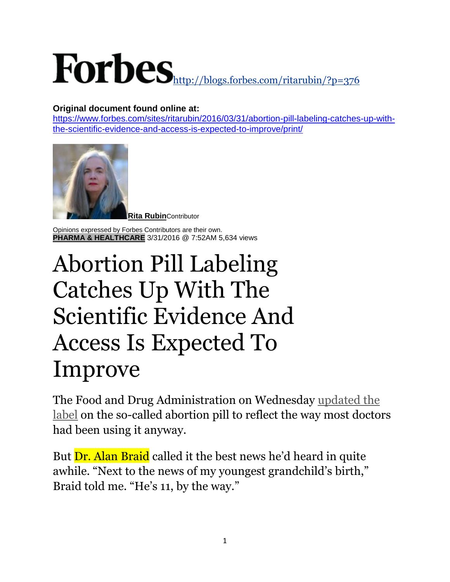## <http://blogs.forbes.com/ritarubin/?p=376>

## **Original document found online at:**

[https://www.forbes.com/sites/ritarubin/2016/03/31/abortion-pill-labeling-catches-up-with](https://www.forbes.com/sites/ritarubin/2016/03/31/abortion-pill-labeling-catches-up-with-the-scientific-evidence-and-access-is-expected-to-improve/print/)[the-scientific-evidence-and-access-is-expected-to-improve/print/](https://www.forbes.com/sites/ritarubin/2016/03/31/abortion-pill-labeling-catches-up-with-the-scientific-evidence-and-access-is-expected-to-improve/print/)



**[Rita Rubin](https://www.forbes.com/sites/ritarubin/)**Contributor

Opinions expressed by Forbes Contributors are their own. **[PHARMA & HEALTHCARE](https://www.forbes.com/healthcare)** 3/31/2016 @ 7:52AM 5,634 views

## Abortion Pill Labeling Catches Up With The Scientific Evidence And Access Is Expected To Improve

The Food and Drug Administration on Wednesday [updated the](http://www.fda.gov/drugs/drugsafety/postmarketdrugsafetyinformationforpatientsandproviders/ucm492705.htm)  [label](http://www.fda.gov/drugs/drugsafety/postmarketdrugsafetyinformationforpatientsandproviders/ucm492705.htm) on the so-called abortion pill to reflect the way most doctors had been using it anyway.

But **Dr. Alan Braid** called it the best news he'd heard in quite awhile. "Next to the news of my youngest grandchild's birth," Braid told me. "He's 11, by the way."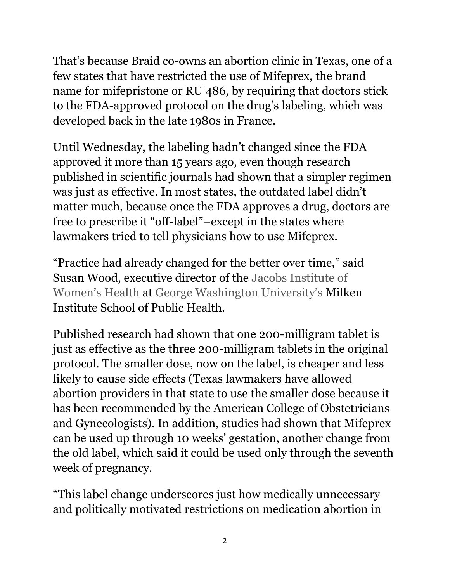That's because Braid co-owns an abortion clinic in Texas, one of a few states that have restricted the use of Mifeprex, the brand name for mifepristone or RU 486, by requiring that doctors stick to the FDA-approved protocol on the drug's labeling, which was developed back in the late 1980s in France.

Until Wednesday, the labeling hadn't changed since the FDA approved it more than 15 years ago, even though research published in scientific journals had shown that a simpler regimen was just as effective. In most states, the outdated label didn't matter much, because once the FDA approves a drug, doctors are free to prescribe it "off-label"–except in the states where lawmakers tried to tell physicians how to use Mifeprex.

"Practice had already changed for the better over time," said Susan Wood, executive director of the [Jacobs Institute of](http://publichealth.gwu.edu/projects/jiwh)  [Women's Health](http://publichealth.gwu.edu/projects/jiwh) at [George Washington University's](http://www.forbes.com/colleges/george-washington-university/) Milken Institute School of Public Health.

Published research had shown that one 200-milligram tablet is just as effective as the three 200-milligram tablets in the original protocol. The smaller dose, now on the label, is cheaper and less likely to cause side effects (Texas lawmakers have allowed abortion providers in that state to use the smaller dose because it has been recommended by the American College of Obstetricians and Gynecologists). In addition, studies had shown that Mifeprex can be used up through 10 weeks' gestation, another change from the old label, which said it could be used only through the seventh week of pregnancy.

"This label change underscores just how medically unnecessary and politically motivated restrictions on medication abortion in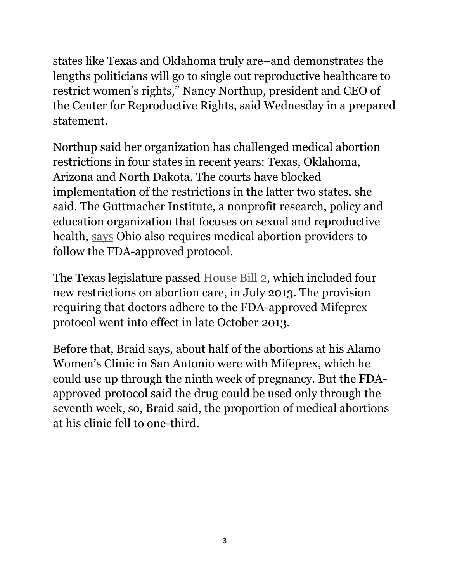states like Texas and Oklahoma truly are–and demonstrates the lengths politicians will go to single out reproductive healthcare to restrict women's rights," Nancy Northup, president and CEO of the Center for Reproductive Rights, said Wednesday in a prepared statement.

Northup said her organization has challenged medical abortion restrictions in four states in recent years: Texas, Oklahoma, Arizona and North Dakota. The courts have blocked implementation of the restrictions in the latter two states, she said. The Guttmacher Institute, a nonprofit research, policy and education organization that focuses on sexual and reproductive health, [says](https://www.guttmacher.org/state-policy/explore/medication-abortion) Ohio also requires medical abortion providers to follow the FDA-approved protocol.

The Texas legislature passed [House Bill 2,](http://www.utexas.edu/cola/txpep/_files/pdf/txpep%20fact%20sheet%20HB2%20Oct.%204%202014.pdf) which included four new restrictions on abortion care, in July 2013. The provision requiring that doctors adhere to the FDA-approved Mifeprex protocol went into effect in late October 2013.

Before that, Braid says, about half of the abortions at his Alamo Women's Clinic in San Antonio were with Mifeprex, which he could use up through the ninth week of pregnancy. But the FDAapproved protocol said the drug could be used only through the seventh week, so, Braid said, the proportion of medical abortions at his clinic fell to one-third.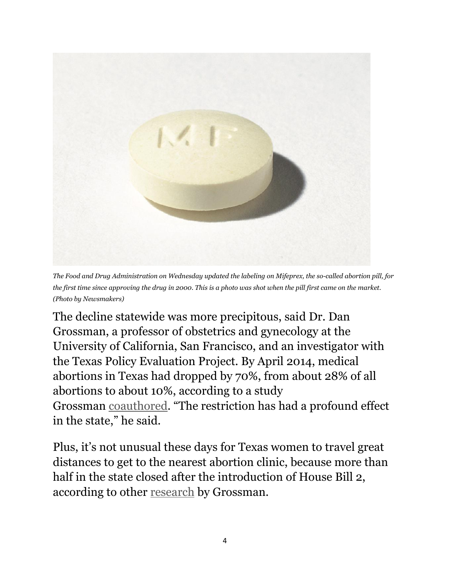

*The Food and Drug Administration on Wednesday updated the labeling on Mifeprex, the so-called abortion pill, for the first time since approving the drug in 2000. This is a photo was shot when the pill first came on the market. (Photo by Newsmakers)*

The decline statewide was more precipitous, said Dr. Dan Grossman, a professor of obstetrics and gynecology at the University of California, San Francisco, and an investigator with the Texas Policy Evaluation Project. By April 2014, medical abortions in Texas had dropped by 70%, from about 28% of all abortions to about 10%, according to a study Grossman [coauthored](http://www.ncbi.nlm.nih.gov/pmc/articles/PMC4179978/). "The restriction has had a profound effect in the state," he said.

Plus, it's not unusual these days for Texas women to travel great distances to get to the nearest abortion clinic, because more than half in the state closed after the introduction of House Bill 2, according to other [research](https://www.ncbi.nlm.nih.gov/pubmed/26985603) by Grossman.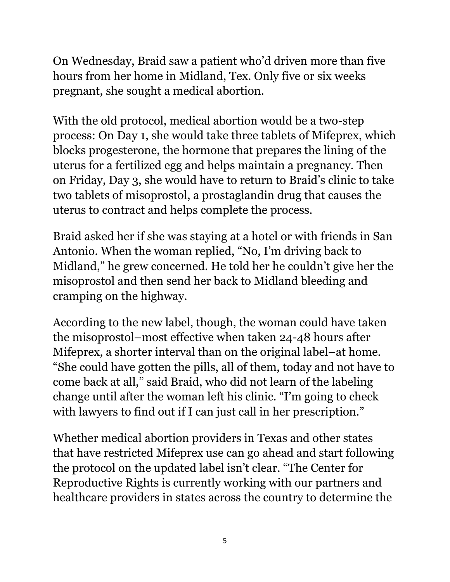On Wednesday, Braid saw a patient who'd driven more than five hours from her home in Midland, Tex. Only five or six weeks pregnant, she sought a medical abortion.

With the old protocol, medical abortion would be a two-step process: On Day 1, she would take three tablets of Mifeprex, which blocks progesterone, the hormone that prepares the lining of the uterus for a fertilized egg and helps maintain a pregnancy. Then on Friday, Day 3, she would have to return to Braid's clinic to take two tablets of misoprostol, a prostaglandin drug that causes the uterus to contract and helps complete the process.

Braid asked her if she was staying at a hotel or with friends in San Antonio. When the woman replied, "No, I'm driving back to Midland," he grew concerned. He told her he couldn't give her the misoprostol and then send her back to Midland bleeding and cramping on the highway.

According to the new label, though, the woman could have taken the misoprostol–most effective when taken 24-48 hours after Mifeprex, a shorter interval than on the original label–at home. "She could have gotten the pills, all of them, today and not have to come back at all," said Braid, who did not learn of the labeling change until after the woman left his clinic. "I'm going to check with lawyers to find out if I can just call in her prescription."

Whether medical abortion providers in Texas and other states that have restricted Mifeprex use can go ahead and start following the protocol on the updated label isn't clear. "The Center for Reproductive Rights is currently working with our partners and healthcare providers in states across the country to determine the